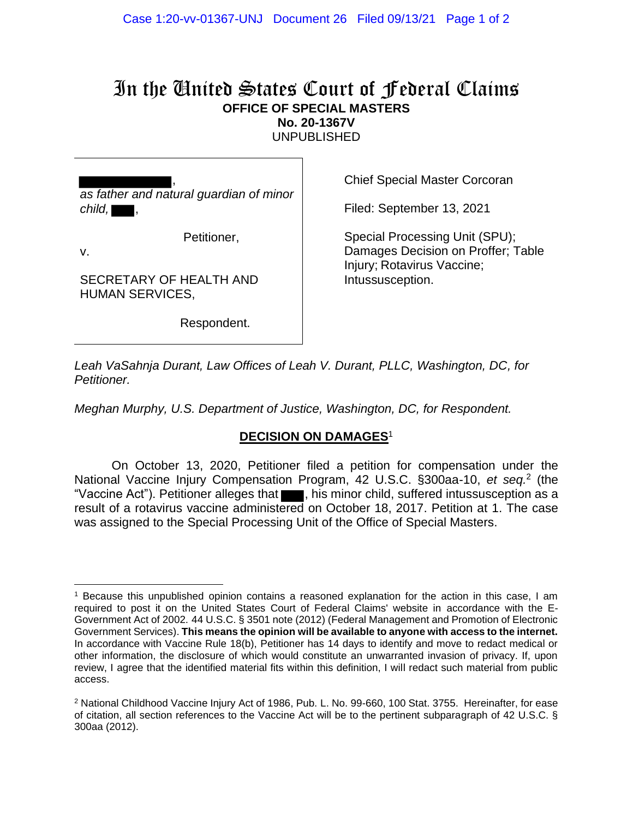## In the United States Court of Federal Claims **OFFICE OF SPECIAL MASTERS No. 20-1367V**

UNPUBLISHED

, *as father and natural guardian of minor*   $child, \blacksquare,$ 

Petitioner,

v.

SECRETARY OF HEALTH AND HUMAN SERVICES,

Respondent.

Chief Special Master Corcoran

Filed: September 13, 2021

Special Processing Unit (SPU); Damages Decision on Proffer; Table Injury; Rotavirus Vaccine; Intussusception.

*Leah VaSahnja Durant, Law Offices of Leah V. Durant, PLLC, Washington, DC, for Petitioner.*

*Meghan Murphy, U.S. Department of Justice, Washington, DC, for Respondent.*

## **DECISION ON DAMAGES**<sup>1</sup>

On October 13, 2020, Petitioner filed a petition for compensation under the National Vaccine Injury Compensation Program, 42 U.S.C. §300aa-10, et seq.<sup>2</sup> (the "Vaccine Act"). Petitioner alleges that , his minor child, suffered intussusception as a result of a rotavirus vaccine administered on October 18, 2017. Petition at 1. The case was assigned to the Special Processing Unit of the Office of Special Masters.

<sup>1</sup> Because this unpublished opinion contains a reasoned explanation for the action in this case, I am required to post it on the United States Court of Federal Claims' website in accordance with the E-Government Act of 2002. 44 U.S.C. § 3501 note (2012) (Federal Management and Promotion of Electronic Government Services). **This means the opinion will be available to anyone with access to the internet.** In accordance with Vaccine Rule 18(b), Petitioner has 14 days to identify and move to redact medical or other information, the disclosure of which would constitute an unwarranted invasion of privacy. If, upon review, I agree that the identified material fits within this definition, I will redact such material from public access.

<sup>2</sup> National Childhood Vaccine Injury Act of 1986, Pub. L. No. 99-660, 100 Stat. 3755. Hereinafter, for ease of citation, all section references to the Vaccine Act will be to the pertinent subparagraph of 42 U.S.C. § 300aa (2012).